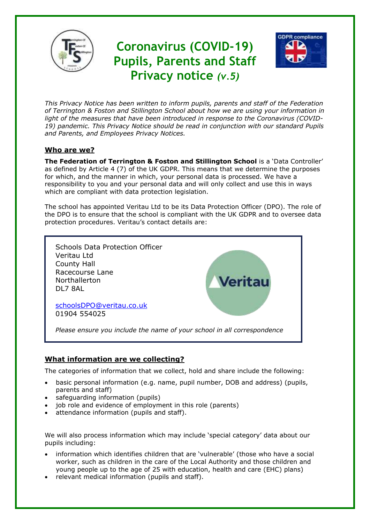

# **Coronavirus (COVID-19) Pupils, Parents and Staff Privacy notice** *(v.5)*



*This Privacy Notice has been written to inform pupils, parents and staff of the Federation of Terrington & Foston and Stillington School about how we are using your information in light of the measures that have been introduced in response to the Coronavirus (COVID-19) pandemic. This Privacy Notice should be read in conjunction with our standard Pupils and Parents, and Employees Privacy Notices.*

# **Who are we?**

**The Federation of Terrington & Foston and Stillington School** is a 'Data Controller' as defined by Article 4 (7) of the UK GDPR. This means that we determine the purposes for which, and the manner in which, your personal data is processed. We have a responsibility to you and your personal data and will only collect and use this in ways which are compliant with data protection legislation.

The school has appointed Veritau Ltd to be its Data Protection Officer (DPO). The role of the DPO is to ensure that the school is compliant with the UK GDPR and to oversee data protection procedures. Veritau's contact details are:



# **What information are we collecting?**

The categories of information that we collect, hold and share include the following:

- basic personal information (e.g. name, pupil number, DOB and address) (pupils, parents and staff)
- safeguarding information (pupils)
- job role and evidence of employment in this role (parents)
- attendance information (pupils and staff).

We will also process information which may include 'special category' data about our pupils including:

- information which identifies children that are 'vulnerable' (those who have a social worker, such as children in the care of the Local Authority and those children and young people up to the age of 25 with education, health and care (EHC) plans)
- relevant medical information (pupils and staff).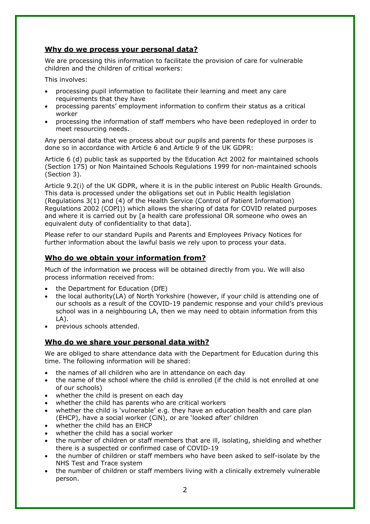### **Why do we process your personal data?**

We are processing this information to facilitate the provision of care for vulnerable children and the children of critical workers:

This involves:

- processing pupil information to facilitate their learning and meet any care requirements that they have
- processing parents' employment information to confirm their status as a critical worker
- processing the information of staff members who have been redeployed in order to meet resourcing needs.

Any personal data that we process about our pupils and parents for these purposes is done so in accordance with Article 6 and Article 9 of the UK GDPR:

Article 6 (d) public task as supported by the Education Act 2002 for maintained schools (Section 175) or Non Maintained Schools Regulations 1999 for non-maintained schools (Section 3).

Article 9.2(i) of the UK GDPR, where it is in the public interest on Public Health Grounds. This data is processed under the obligations set out in Public Health legislation (Regulations 3(1) and (4) of the Health Service (Control of Patient Information) Regulations 2002 (COPI)) which allows the sharing of data for COVID related purposes and where it is carried out by [a health care professional OR someone who owes an equivalent duty of confidentiality to that data].

Please refer to our standard Pupils and Parents and Employees Privacy Notices for further information about the lawful basis we rely upon to process your data.

# **Who do we obtain your information from?**

Much of the information we process will be obtained directly from you. We will also process information received from:

- the Department for Education (DfE)
- the local authority(LA) of North Yorkshire (however, if your child is attending one of our schools as a result of the COVID-19 pandemic response and your child's previous school was in a neighbouring LA, then we may need to obtain information from this LA).
- previous schools attended.

### **Who do we share your personal data with?**

We are obliged to share attendance data with the Department for Education during this time. The following information will be shared:

- the names of all children who are in attendance on each day
- the name of the school where the child is enrolled (if the child is not enrolled at one of our schools)
- whether the child is present on each day
- whether the child has parents who are critical workers
- whether the child is 'vulnerable' e.g. they have an education health and care plan (EHCP), have a social worker (CiN), or are 'looked after' children
- whether the child has an EHCP
- whether the child has a social worker
- the number of children or staff members that are ill, isolating, shielding and whether there is a suspected or confirmed case of COVID-19
- the number of children or staff members who have been asked to self-isolate by the NHS Test and Trace system
- the number of children or staff members living with a clinically extremely vulnerable person.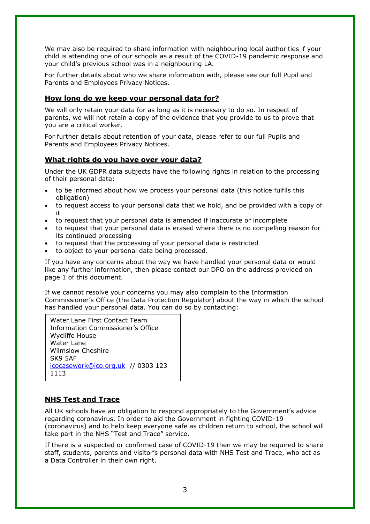We may also be required to share information with neighbouring local authorities if your child is attending one of our schools as a result of the COVID-19 pandemic response and your child's previous school was in a neighbouring LA.

For further details about who we share information with, please see our full Pupil and Parents and Employees Privacy Notices.

### **How long do we keep your personal data for?**

We will only retain your data for as long as it is necessary to do so. In respect of parents, we will not retain a copy of the evidence that you provide to us to prove that you are a critical worker.

For further details about retention of your data, please refer to our full Pupils and Parents and Employees Privacy Notices.

# **What rights do you have over your data?**

Under the UK GDPR data subjects have the following rights in relation to the processing of their personal data:

- to be informed about how we process your personal data (this notice fulfils this obligation)
- to request access to your personal data that we hold, and be provided with a copy of it
- to request that your personal data is amended if inaccurate or incomplete
- to request that your personal data is erased where there is no compelling reason for its continued processing
- to request that the processing of your personal data is restricted
- to object to your personal data being processed.

If you have any concerns about the way we have handled your personal data or would like any further information, then please contact our DPO on the address provided on page 1 of this document.

If we cannot resolve your concerns you may also complain to the Information Commissioner's Office (the Data Protection Regulator) about the way in which the school has handled your personal data. You can do so by contacting:

Water Lane First Contact Team Information Commissioner's Office Wycliffe House Water Lane Wilmslow Cheshire SK9 5AF [icocasework@ico.org.uk](mailto:icocasework@ico.org.uk) // 0303 123 1113

# **NHS Test and Trace**

All UK schools have an obligation to respond appropriately to the Government's advice regarding coronavirus. In order to aid the Government in fighting COVID-19 (coronavirus) and to help keep everyone safe as children return to school, the school will take part in the NHS "Test and Trace" service.

If there is a suspected or confirmed case of COVID-19 then we may be required to share staff, students, parents and visitor's personal data with NHS Test and Trace, who act as a Data Controller in their own right.